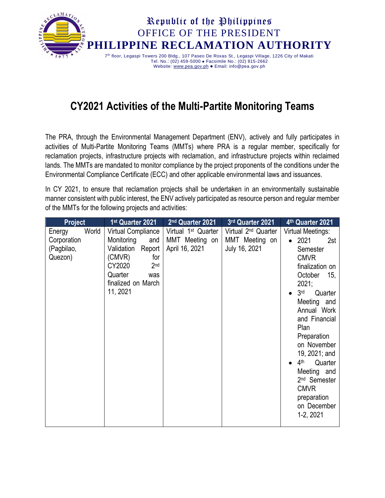

## **CY2021 Activities of the Multi-Partite Monitoring Teams**

The PRA, through the Environmental Management Department (ENV), actively and fully participates in activities of Multi-Partite Monitoring Teams (MMTs) where PRA is a regular member, specifically for reclamation projects, infrastructure projects with reclamation, and infrastructure projects within reclaimed lands. The MMTs are mandated to monitor compliance by the project proponents of the conditions under the Environmental Compliance Certificate (ECC) and other applicable environmental laws and issuances.

In CY 2021, to ensure that reclamation projects shall be undertaken in an environmentally sustainable manner consistent with public interest, the ENV actively participated as resource person and regular member of the MMTs for the following projects and activities: